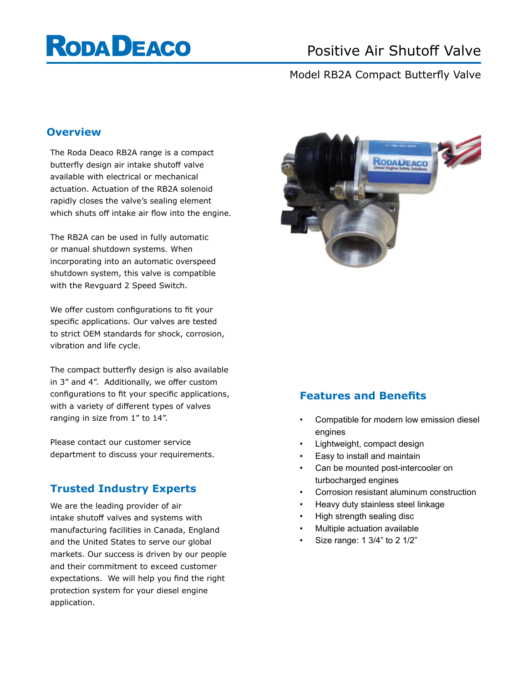# **RODA DEACO**

## Positive Air Shutoff Valve

## Model RB2A Compact Butterfly Valve

#### **Overview**

The Roda Deaco RB2A range is a compact butterfly design air intake shutoff valve available with electrical or mechanical actuation. Actuation of the RB2A solenoid rapidly closes the valve's sealing element which shuts off intake air flow into the engine.

The RB2A can be used in fully automatic or manual shutdown systems. When incorporating into an automatic overspeed shutdown system, this valve is compatible with the Revguard 2 Speed Switch.

We offer custom configurations to fit your specific applications. Our valves are tested to strict OEM standards for shock, corrosion, vibration and life cycle.

The compact butterfly design is also available in 3" and 4". Additionally, we offer custom configurations to fit your specific applications, with a variety of different types of valves ranging in size from 1" to 14".

Please contact our customer service department to discuss your requirements.

#### **Trusted Industry Experts**

We are the leading provider of air intake shutoff valves and systems with manufacturing facilities in Canada, England and the United States to serve our global markets. Our success is driven by our people and their commitment to exceed customer expectations. We will help you find the right protection system for your diesel engine application.



#### **Features and Benefits**

- Compatible for modern low emission diesel engines
- Lightweight, compact design
- Easy to install and maintain
- Can be mounted post-intercooler on turbocharged engines
- Corrosion resistant aluminum construction
- Heavy duty stainless steel linkage
- High strength sealing disc
- Multiple actuation available
- Size range: 1 3/4" to 2 1/2"